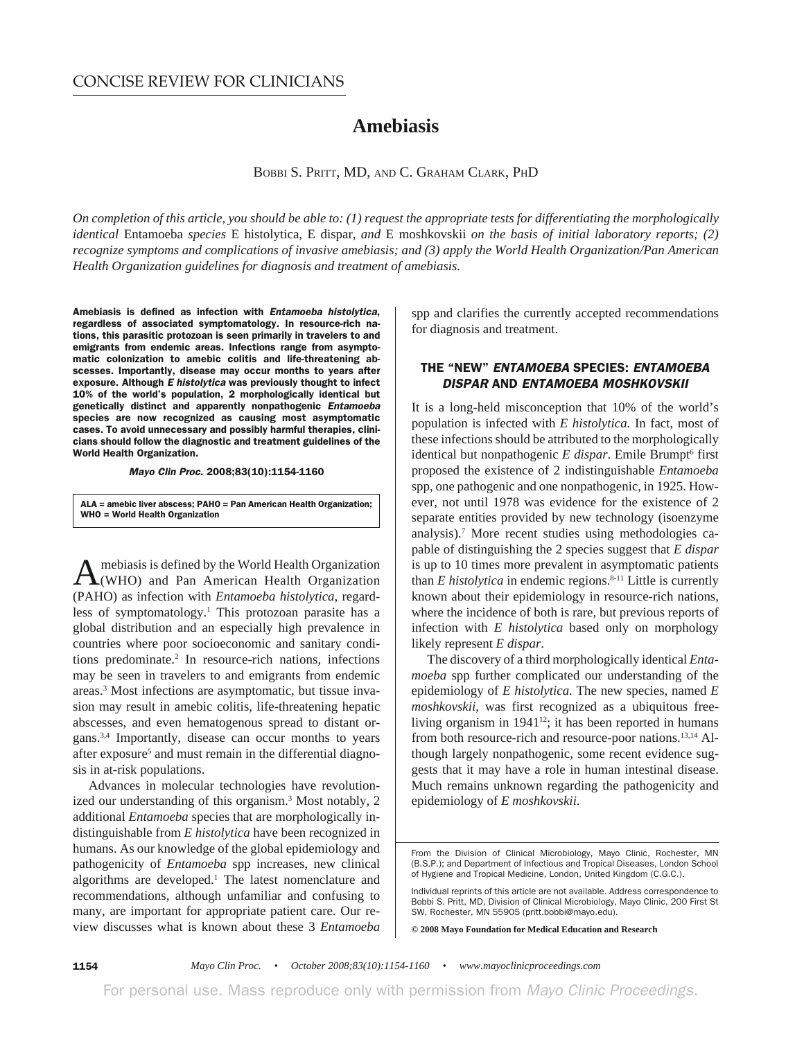# **Amebiasis**

BOBBI S. PRITT, MD, AND C. GRAHAM CLARK, PHD

*On completion of this article, you should be able to: (1) request the appropriate tests for differentiating the morphologically identical* Entamoeba *species* E histolytica*,* E dispar*, and* E moshkovskii *on the basis of initial laboratory reports; (2) recognize symptoms and complications of invasive amebiasis; and (3) apply the World Health Organization/Pan American Health Organization guidelines for diagnosis and treatment of amebiasis.*

Amebiasis is defined as infection with Entamoeba histolytica, regardless of associated symptomatology. In resource-rich nations, this parasitic protozoan is seen primarily in travelers to and emigrants from endemic areas. Infections range from asymptomatic colonization to amebic colitis and life-threatening abscesses. Importantly, disease may occur months to years after exposure. Although E histolytica was previously thought to infect 10% of the world's population, 2 morphologically identical but genetically distinct and apparently nonpathogenic Entamoeba species are now recognized as causing most asymptomatic cases. To avoid unnecessary and possibly harmful therapies, clinicians should follow the diagnostic and treatment guidelines of the World Health Organization.

Mayo Clin Proc. 2008;83(10):1154-1160

ALA = amebic liver abscess; PAHO = Pan American Health Organization; WHO = World Health Organization

Amebiasis is defined by the World Health Organization<br>(WHO) and Pan American Health Organization (PAHO) as infection with *Entamoeba histolytica*, regardless of symptomatology.1 This protozoan parasite has a global distribution and an especially high prevalence in countries where poor socioeconomic and sanitary conditions predominate.2 In resource-rich nations, infections may be seen in travelers to and emigrants from endemic areas.3 Most infections are asymptomatic, but tissue invasion may result in amebic colitis, life-threatening hepatic abscesses, and even hematogenous spread to distant organs.3,4 Importantly, disease can occur months to years after exposure<sup>5</sup> and must remain in the differential diagnosis in at-risk populations.

Advances in molecular technologies have revolutionized our understanding of this organism.<sup>3</sup> Most notably, 2 additional *Entamoeba* species that are morphologically indistinguishable from *E histolytica* have been recognized in humans. As our knowledge of the global epidemiology and pathogenicity of *Entamoeba* spp increases, new clinical algorithms are developed.<sup>1</sup> The latest nomenclature and recommendations, although unfamiliar and confusing to many, are important for appropriate patient care. Our review discusses what is known about these 3 *Entamoeba*

spp and clarifies the currently accepted recommendations for diagnosis and treatment.

### THE "NEW" ENTAMOEBA SPECIES: ENTAMOEBA DISPAR AND ENTAMOEBA MOSHKOVSKII

It is a long-held misconception that 10% of the world's population is infected with *E histolytica.* In fact, most of these infections should be attributed to the morphologically identical but nonpathogenic *E dispar*. Emile Brumpt<sup>6</sup> first proposed the existence of 2 indistinguishable *Entamoeba* spp, one pathogenic and one nonpathogenic, in 1925. However, not until 1978 was evidence for the existence of 2 separate entities provided by new technology (isoenzyme analysis).7 More recent studies using methodologies capable of distinguishing the 2 species suggest that *E dispar* is up to 10 times more prevalent in asymptomatic patients than  $E$  histolytica in endemic regions.<sup>8-11</sup> Little is currently known about their epidemiology in resource-rich nations, where the incidence of both is rare, but previous reports of infection with *E histolytica* based only on morphology likely represent *E dispar*.

The discovery of a third morphologically identical *Entamoeba* spp further complicated our understanding of the epidemiology of *E histolytica*. The new species, named *E moshkovskii,* was first recognized as a ubiquitous freeliving organism in  $1941^{12}$ ; it has been reported in humans from both resource-rich and resource-poor nations.<sup>13,14</sup> Although largely nonpathogenic, some recent evidence suggests that it may have a role in human intestinal disease. Much remains unknown regarding the pathogenicity and epidemiology of *E moshkovskii*.

From the Division of Clinical Microbiology, Mayo Clinic, Rochester, MN (B.S.P.); and Department of Infectious and Tropical Diseases, London School of Hygiene and Tropical Medicine, London, United Kingdom (C.G.C.).

**© 2008 Mayo Foundation for Medical Education and Research**

Individual reprints of this article are not available. Address correspondence to Bobbi S. Pritt, MD, Division of Clinical Microbiology, Mayo Clinic, 200 First St SW, Rochester, MN 55905 (pritt.bobbi@mayo.edu).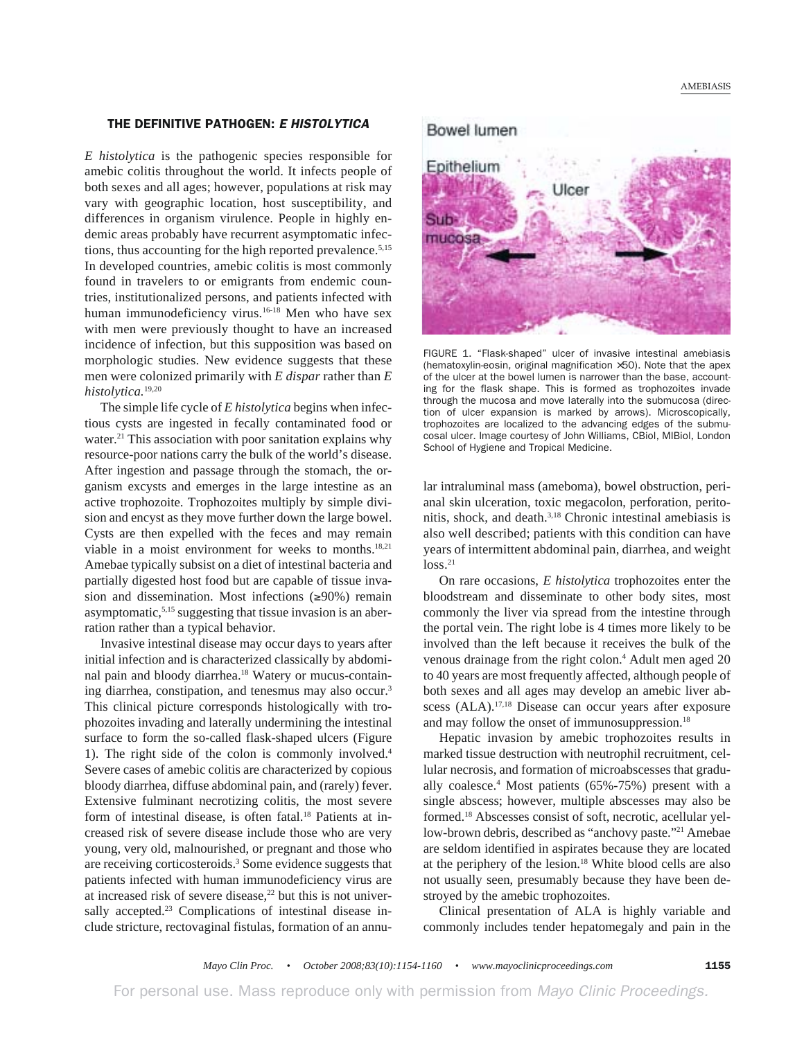#### THE DEFINITIVE PATHOGEN: E HISTOLYTICA

*E histolytica* is the pathogenic species responsible for amebic colitis throughout the world. It infects people of both sexes and all ages; however, populations at risk may vary with geographic location, host susceptibility, and differences in organism virulence. People in highly endemic areas probably have recurrent asymptomatic infections, thus accounting for the high reported prevalence.<sup>5,15</sup> In developed countries, amebic colitis is most commonly found in travelers to or emigrants from endemic countries, institutionalized persons, and patients infected with human immunodeficiency virus.<sup>16-18</sup> Men who have sex with men were previously thought to have an increased incidence of infection, but this supposition was based on morphologic studies. New evidence suggests that these men were colonized primarily with *E dispar* rather than *E histolytica.*19,20

The simple life cycle of *E histolytica* begins when infectious cysts are ingested in fecally contaminated food or water.<sup>21</sup> This association with poor sanitation explains why resource-poor nations carry the bulk of the world's disease. After ingestion and passage through the stomach, the organism excysts and emerges in the large intestine as an active trophozoite. Trophozoites multiply by simple division and encyst as they move further down the large bowel. Cysts are then expelled with the feces and may remain viable in a moist environment for weeks to months.<sup>18,21</sup> Amebae typically subsist on a diet of intestinal bacteria and partially digested host food but are capable of tissue invasion and dissemination. Most infections (≥90%) remain asymptomatic, $5,15$  suggesting that tissue invasion is an aberration rather than a typical behavior.

Invasive intestinal disease may occur days to years after initial infection and is characterized classically by abdominal pain and bloody diarrhea.<sup>18</sup> Watery or mucus-containing diarrhea, constipation, and tenesmus may also occur.<sup>3</sup> This clinical picture corresponds histologically with trophozoites invading and laterally undermining the intestinal surface to form the so-called flask-shaped ulcers (Figure 1). The right side of the colon is commonly involved.4 Severe cases of amebic colitis are characterized by copious bloody diarrhea, diffuse abdominal pain, and (rarely) fever. Extensive fulminant necrotizing colitis, the most severe form of intestinal disease, is often fatal.<sup>18</sup> Patients at increased risk of severe disease include those who are very young, very old, malnourished, or pregnant and those who are receiving corticosteroids.3 Some evidence suggests that patients infected with human immunodeficiency virus are at increased risk of severe disease, $22$  but this is not universally accepted.<sup>23</sup> Complications of intestinal disease include stricture, rectovaginal fistulas, formation of an annu-



FIGURE 1. "Flask-shaped" ulcer of invasive intestinal amebiasis (hematoxylin-eosin, original magnification ×50). Note that the apex of the ulcer at the bowel lumen is narrower than the base, accounting for the flask shape. This is formed as trophozoites invade through the mucosa and move laterally into the submucosa (direction of ulcer expansion is marked by arrows). Microscopically, trophozoites are localized to the advancing edges of the submucosal ulcer. Image courtesy of John Williams, CBiol, MIBiol, London School of Hygiene and Tropical Medicine.

lar intraluminal mass (ameboma), bowel obstruction, perianal skin ulceration, toxic megacolon, perforation, peritonitis, shock, and death.3,18 Chronic intestinal amebiasis is also well described; patients with this condition can have years of intermittent abdominal pain, diarrhea, and weight  $loss.<sup>21</sup>$ 

On rare occasions, *E histolytica* trophozoites enter the bloodstream and disseminate to other body sites, most commonly the liver via spread from the intestine through the portal vein. The right lobe is 4 times more likely to be involved than the left because it receives the bulk of the venous drainage from the right colon.<sup>4</sup> Adult men aged 20 to 40 years are most frequently affected, although people of both sexes and all ages may develop an amebic liver abscess (ALA).<sup>17,18</sup> Disease can occur years after exposure and may follow the onset of immunosuppression.<sup>18</sup>

Hepatic invasion by amebic trophozoites results in marked tissue destruction with neutrophil recruitment, cellular necrosis, and formation of microabscesses that gradually coalesce.<sup>4</sup> Most patients  $(65\% -75\%)$  present with a single abscess; however, multiple abscesses may also be formed.18 Abscesses consist of soft, necrotic, acellular yellow-brown debris, described as "anchovy paste."<sup>21</sup> Amebae are seldom identified in aspirates because they are located at the periphery of the lesion.<sup>18</sup> White blood cells are also not usually seen, presumably because they have been destroyed by the amebic trophozoites.

Clinical presentation of ALA is highly variable and commonly includes tender hepatomegaly and pain in the

For personal use. Mass reproduce only with permission from *Mayo Clinic Proceedings.*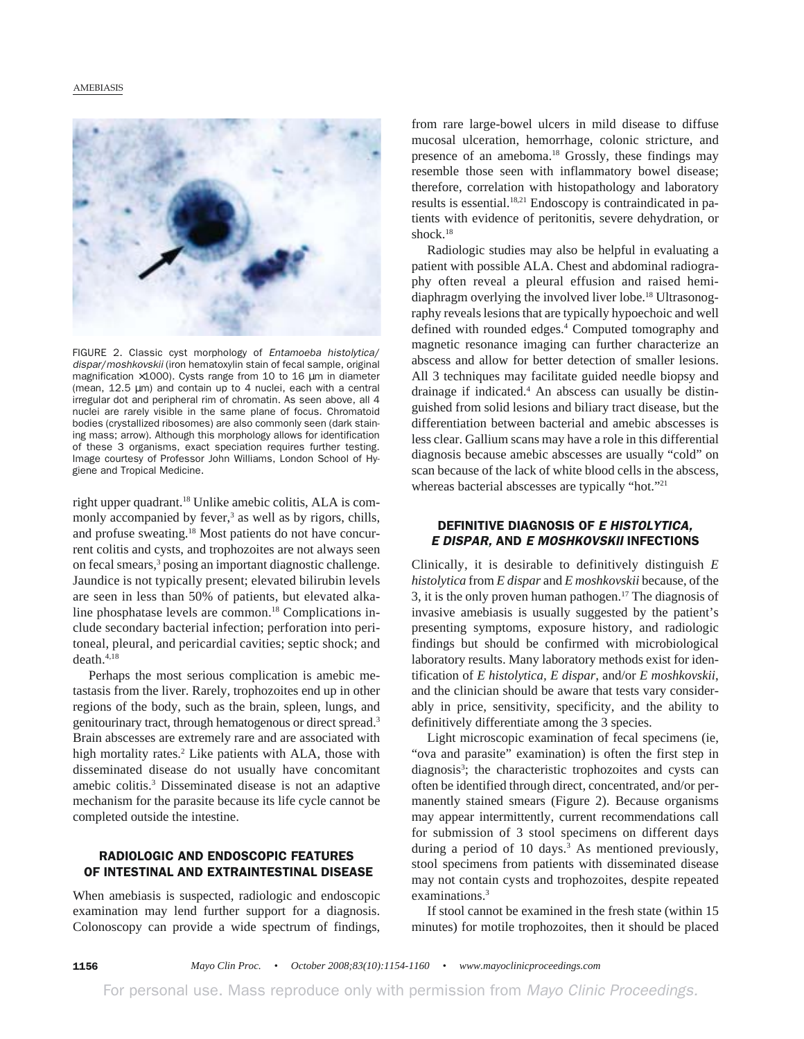

FIGURE 2. Classic cyst morphology of Entamoeba histolytica/ dispar/moshkovskii (iron hematoxylin stain of fecal sample, original magnification ×1000). Cysts range from 10 to 16 µm in diameter (mean, 12.5 µm) and contain up to 4 nuclei, each with a central irregular dot and peripheral rim of chromatin. As seen above, all 4 nuclei are rarely visible in the same plane of focus. Chromatoid bodies (crystallized ribosomes) are also commonly seen (dark staining mass; arrow). Although this morphology allows for identification of these 3 organisms, exact speciation requires further testing. Image courtesy of Professor John Williams, London School of Hygiene and Tropical Medicine.

right upper quadrant.18 Unlike amebic colitis, ALA is commonly accompanied by fever,<sup>3</sup> as well as by rigors, chills, and profuse sweating.<sup>18</sup> Most patients do not have concurrent colitis and cysts, and trophozoites are not always seen on fecal smears,3 posing an important diagnostic challenge. Jaundice is not typically present; elevated bilirubin levels are seen in less than 50% of patients, but elevated alkaline phosphatase levels are common.18 Complications include secondary bacterial infection; perforation into peritoneal, pleural, and pericardial cavities; septic shock; and death.4,18

Perhaps the most serious complication is amebic metastasis from the liver. Rarely, trophozoites end up in other regions of the body, such as the brain, spleen, lungs, and genitourinary tract, through hematogenous or direct spread.3 Brain abscesses are extremely rare and are associated with high mortality rates.<sup>2</sup> Like patients with ALA, those with disseminated disease do not usually have concomitant amebic colitis.3 Disseminated disease is not an adaptive mechanism for the parasite because its life cycle cannot be completed outside the intestine.

### RADIOLOGIC AND ENDOSCOPIC FEATURES OF INTESTINAL AND EXTRAINTESTINAL DISEASE

When amebiasis is suspected, radiologic and endoscopic examination may lend further support for a diagnosis. Colonoscopy can provide a wide spectrum of findings,

from rare large-bowel ulcers in mild disease to diffuse mucosal ulceration, hemorrhage, colonic stricture, and presence of an ameboma.<sup>18</sup> Grossly, these findings may resemble those seen with inflammatory bowel disease; therefore, correlation with histopathology and laboratory results is essential.<sup>18,21</sup> Endoscopy is contraindicated in patients with evidence of peritonitis, severe dehydration, or shock.<sup>18</sup>

Radiologic studies may also be helpful in evaluating a patient with possible ALA. Chest and abdominal radiography often reveal a pleural effusion and raised hemidiaphragm overlying the involved liver lobe.<sup>18</sup> Ultrasonography reveals lesions that are typically hypoechoic and well defined with rounded edges.<sup>4</sup> Computed tomography and magnetic resonance imaging can further characterize an abscess and allow for better detection of smaller lesions. All 3 techniques may facilitate guided needle biopsy and drainage if indicated.<sup>4</sup> An abscess can usually be distinguished from solid lesions and biliary tract disease, but the differentiation between bacterial and amebic abscesses is less clear. Gallium scans may have a role in this differential diagnosis because amebic abscesses are usually "cold" on scan because of the lack of white blood cells in the abscess, whereas bacterial abscesses are typically "hot."<sup>21</sup>

## DEFINITIVE DIAGNOSIS OF E HISTOLYTICA, E DISPAR, AND E MOSHKOVSKII INFECTIONS

Clinically, it is desirable to definitively distinguish *E histolytica* from *E dispar* and *E moshkovskii* because, of the 3, it is the only proven human pathogen.<sup>17</sup> The diagnosis of invasive amebiasis is usually suggested by the patient's presenting symptoms, exposure history, and radiologic findings but should be confirmed with microbiological laboratory results. Many laboratory methods exist for identification of *E histolytica, E dispar,* and/or *E moshkovskii*, and the clinician should be aware that tests vary considerably in price, sensitivity, specificity, and the ability to definitively differentiate among the 3 species.

Light microscopic examination of fecal specimens (ie, "ova and parasite" examination) is often the first step in diagnosis<sup>3</sup>; the characteristic trophozoites and cysts can often be identified through direct, concentrated, and/or permanently stained smears (Figure 2). Because organisms may appear intermittently, current recommendations call for submission of 3 stool specimens on different days during a period of 10 days.<sup>3</sup> As mentioned previously, stool specimens from patients with disseminated disease may not contain cysts and trophozoites, despite repeated examinations.<sup>3</sup>

If stool cannot be examined in the fresh state (within 15 minutes) for motile trophozoites, then it should be placed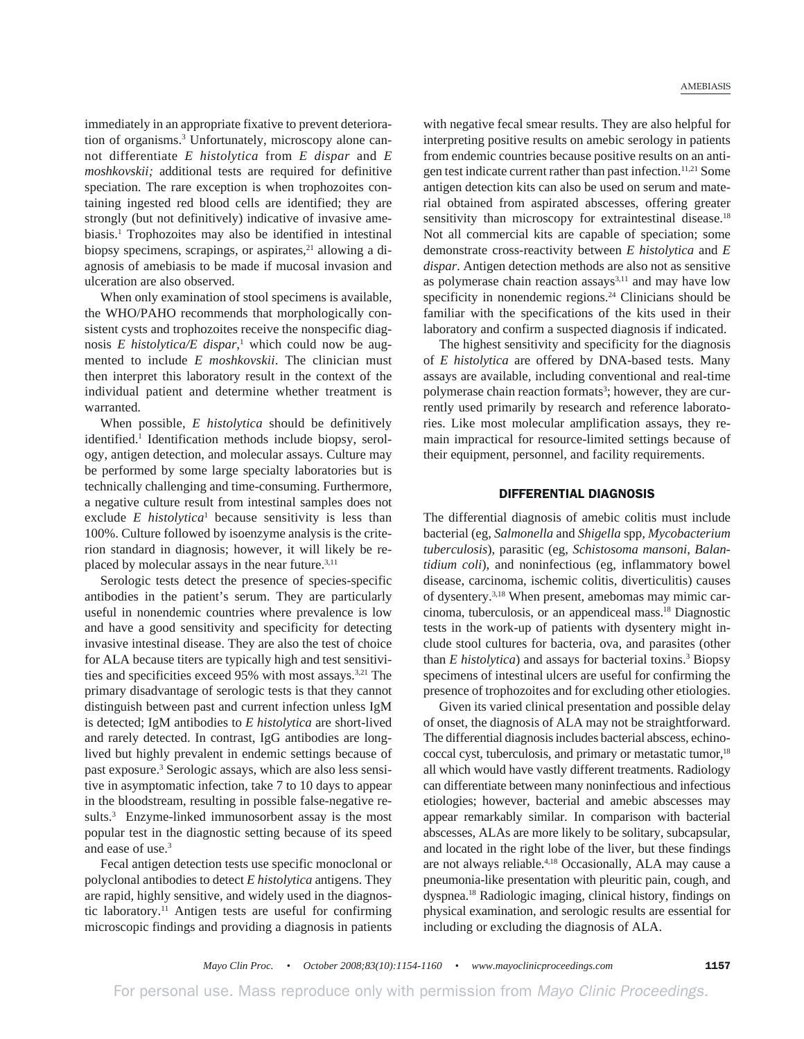immediately in an appropriate fixative to prevent deterioration of organisms.3 Unfortunately, microscopy alone cannot differentiate *E histolytica* from *E dispar* and *E moshkovskii;* additional tests are required for definitive speciation. The rare exception is when trophozoites containing ingested red blood cells are identified; they are strongly (but not definitively) indicative of invasive amebiasis.1 Trophozoites may also be identified in intestinal biopsy specimens, scrapings, or aspirates,<sup>21</sup> allowing a diagnosis of amebiasis to be made if mucosal invasion and ulceration are also observed.

When only examination of stool specimens is available, the WHO/PAHO recommends that morphologically consistent cysts and trophozoites receive the nonspecific diagnosis *E histolytica/E dispar*, <sup>1</sup> which could now be augmented to include *E moshkovskii*. The clinician must then interpret this laboratory result in the context of the individual patient and determine whether treatment is warranted.

When possible, *E histolytica* should be definitively identified.<sup>1</sup> Identification methods include biopsy, serology, antigen detection, and molecular assays. Culture may be performed by some large specialty laboratories but is technically challenging and time-consuming. Furthermore, a negative culture result from intestinal samples does not exclude *E* histolytica<sup>1</sup> because sensitivity is less than 100%. Culture followed by isoenzyme analysis is the criterion standard in diagnosis; however, it will likely be replaced by molecular assays in the near future.<sup>3,11</sup>

Serologic tests detect the presence of species-specific antibodies in the patient's serum. They are particularly useful in nonendemic countries where prevalence is low and have a good sensitivity and specificity for detecting invasive intestinal disease. They are also the test of choice for ALA because titers are typically high and test sensitivities and specificities exceed 95% with most assays.<sup>3,21</sup> The primary disadvantage of serologic tests is that they cannot distinguish between past and current infection unless IgM is detected; IgM antibodies to *E histolytica* are short-lived and rarely detected. In contrast, IgG antibodies are longlived but highly prevalent in endemic settings because of past exposure.3 Serologic assays, which are also less sensitive in asymptomatic infection, take 7 to 10 days to appear in the bloodstream, resulting in possible false-negative results.<sup>3</sup> Enzyme-linked immunosorbent assay is the most popular test in the diagnostic setting because of its speed and ease of use.<sup>3</sup>

Fecal antigen detection tests use specific monoclonal or polyclonal antibodies to detect *E histolytica* antigens. They are rapid, highly sensitive, and widely used in the diagnostic laboratory.11 Antigen tests are useful for confirming microscopic findings and providing a diagnosis in patients with negative fecal smear results. They are also helpful for interpreting positive results on amebic serology in patients from endemic countries because positive results on an antigen test indicate current rather than past infection.<sup>11,21</sup> Some antigen detection kits can also be used on serum and material obtained from aspirated abscesses, offering greater sensitivity than microscopy for extraintestinal disease.<sup>18</sup> Not all commercial kits are capable of speciation; some demonstrate cross-reactivity between *E histolytica* and *E dispar*. Antigen detection methods are also not as sensitive as polymerase chain reaction assays<sup>3,11</sup> and may have low specificity in nonendemic regions. $24$  Clinicians should be familiar with the specifications of the kits used in their laboratory and confirm a suspected diagnosis if indicated.

The highest sensitivity and specificity for the diagnosis of *E histolytica* are offered by DNA-based tests. Many assays are available, including conventional and real-time polymerase chain reaction formats<sup>3</sup>; however, they are currently used primarily by research and reference laboratories. Like most molecular amplification assays, they remain impractical for resource-limited settings because of their equipment, personnel, and facility requirements.

#### DIFFERENTIAL DIAGNOSIS

The differential diagnosis of amebic colitis must include bacterial (eg, *Salmonella* and *Shigella* spp*, Mycobacterium tuberculosis*), parasitic (eg, *Schistosoma mansoni, Balantidium coli*), and noninfectious (eg, inflammatory bowel disease, carcinoma, ischemic colitis, diverticulitis) causes of dysentery.3,18 When present, amebomas may mimic carcinoma, tuberculosis, or an appendiceal mass.18 Diagnostic tests in the work-up of patients with dysentery might include stool cultures for bacteria, ova, and parasites (other than  $E$  histolytica) and assays for bacterial toxins.<sup>3</sup> Biopsy specimens of intestinal ulcers are useful for confirming the presence of trophozoites and for excluding other etiologies.

Given its varied clinical presentation and possible delay of onset, the diagnosis of ALA may not be straightforward. The differential diagnosis includes bacterial abscess, echinococcal cyst, tuberculosis, and primary or metastatic tumor,<sup>18</sup> all which would have vastly different treatments. Radiology can differentiate between many noninfectious and infectious etiologies; however, bacterial and amebic abscesses may appear remarkably similar. In comparison with bacterial abscesses, ALAs are more likely to be solitary, subcapsular, and located in the right lobe of the liver, but these findings are not always reliable.<sup>4,18</sup> Occasionally, ALA may cause a pneumonia-like presentation with pleuritic pain, cough, and dyspnea.18 Radiologic imaging, clinical history, findings on physical examination, and serologic results are essential for including or excluding the diagnosis of ALA.

For personal use. Mass reproduce only with permission from *Mayo Clinic Proceedings.*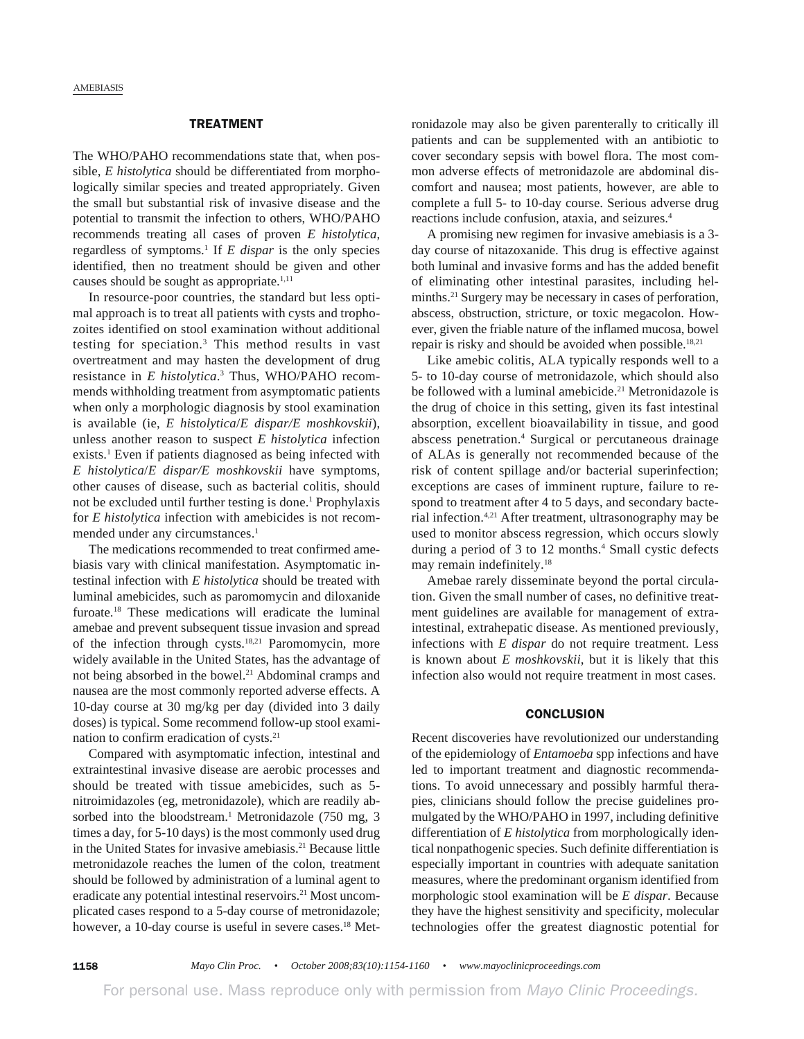#### TREATMENT

The WHO/PAHO recommendations state that, when possible, *E histolytica* should be differentiated from morphologically similar species and treated appropriately. Given the small but substantial risk of invasive disease and the potential to transmit the infection to others, WHO/PAHO recommends treating all cases of proven *E histolytica*, regardless of symptoms.1 If *E dispar* is the only species identified, then no treatment should be given and other causes should be sought as appropriate.<sup>1,11</sup>

In resource-poor countries, the standard but less optimal approach is to treat all patients with cysts and trophozoites identified on stool examination without additional testing for speciation.3 This method results in vast overtreatment and may hasten the development of drug resistance in *E histolytica*. <sup>3</sup> Thus, WHO/PAHO recommends withholding treatment from asymptomatic patients when only a morphologic diagnosis by stool examination is available (ie, *E histolytica*/*E dispar/E moshkovskii*), unless another reason to suspect *E histolytica* infection exists.<sup>1</sup> Even if patients diagnosed as being infected with *E histolytica*/*E dispar/E moshkovskii* have symptoms, other causes of disease, such as bacterial colitis, should not be excluded until further testing is done.<sup>1</sup> Prophylaxis for *E histolytica* infection with amebicides is not recommended under any circumstances.<sup>1</sup>

The medications recommended to treat confirmed amebiasis vary with clinical manifestation. Asymptomatic intestinal infection with *E histolytica* should be treated with luminal amebicides, such as paromomycin and diloxanide furoate.18 These medications will eradicate the luminal amebae and prevent subsequent tissue invasion and spread of the infection through cysts.18,21 Paromomycin, more widely available in the United States, has the advantage of not being absorbed in the bowel.21 Abdominal cramps and nausea are the most commonly reported adverse effects. A 10-day course at 30 mg/kg per day (divided into 3 daily doses) is typical. Some recommend follow-up stool examination to confirm eradication of cysts.21

Compared with asymptomatic infection, intestinal and extraintestinal invasive disease are aerobic processes and should be treated with tissue amebicides, such as 5 nitroimidazoles (eg, metronidazole), which are readily absorbed into the bloodstream.<sup>1</sup> Metronidazole (750 mg, 3) times a day, for 5-10 days) is the most commonly used drug in the United States for invasive amebiasis.<sup>21</sup> Because little metronidazole reaches the lumen of the colon, treatment should be followed by administration of a luminal agent to eradicate any potential intestinal reservoirs.<sup>21</sup> Most uncomplicated cases respond to a 5-day course of metronidazole; however, a 10-day course is useful in severe cases.<sup>18</sup> Metronidazole may also be given parenterally to critically ill patients and can be supplemented with an antibiotic to cover secondary sepsis with bowel flora. The most common adverse effects of metronidazole are abdominal discomfort and nausea; most patients, however, are able to complete a full 5- to 10-day course. Serious adverse drug reactions include confusion, ataxia, and seizures.4

A promising new regimen for invasive amebiasis is a 3 day course of nitazoxanide. This drug is effective against both luminal and invasive forms and has the added benefit of eliminating other intestinal parasites, including helminths.<sup>21</sup> Surgery may be necessary in cases of perforation, abscess, obstruction, stricture, or toxic megacolon. However, given the friable nature of the inflamed mucosa, bowel repair is risky and should be avoided when possible.<sup>18,21</sup>

Like amebic colitis, ALA typically responds well to a 5- to 10-day course of metronidazole, which should also be followed with a luminal amebicide.<sup>21</sup> Metronidazole is the drug of choice in this setting, given its fast intestinal absorption, excellent bioavailability in tissue, and good abscess penetration.4 Surgical or percutaneous drainage of ALAs is generally not recommended because of the risk of content spillage and/or bacterial superinfection; exceptions are cases of imminent rupture, failure to respond to treatment after 4 to 5 days, and secondary bacterial infection.4,21 After treatment, ultrasonography may be used to monitor abscess regression, which occurs slowly during a period of 3 to 12 months.<sup>4</sup> Small cystic defects may remain indefinitely.<sup>18</sup>

Amebae rarely disseminate beyond the portal circulation. Given the small number of cases, no definitive treatment guidelines are available for management of extraintestinal, extrahepatic disease. As mentioned previously, infections with *E dispar* do not require treatment. Less is known about *E moshkovskii*, but it is likely that this infection also would not require treatment in most cases.

### **CONCLUSION**

Recent discoveries have revolutionized our understanding of the epidemiology of *Entamoeba* spp infections and have led to important treatment and diagnostic recommendations. To avoid unnecessary and possibly harmful therapies, clinicians should follow the precise guidelines promulgated by the WHO/PAHO in 1997, including definitive differentiation of *E histolytica* from morphologically identical nonpathogenic species. Such definite differentiation is especially important in countries with adequate sanitation measures, where the predominant organism identified from morphologic stool examination will be *E dispar*. Because they have the highest sensitivity and specificity, molecular technologies offer the greatest diagnostic potential for

For personal use. Mass reproduce only with permission from *Mayo Clinic Proceedings.*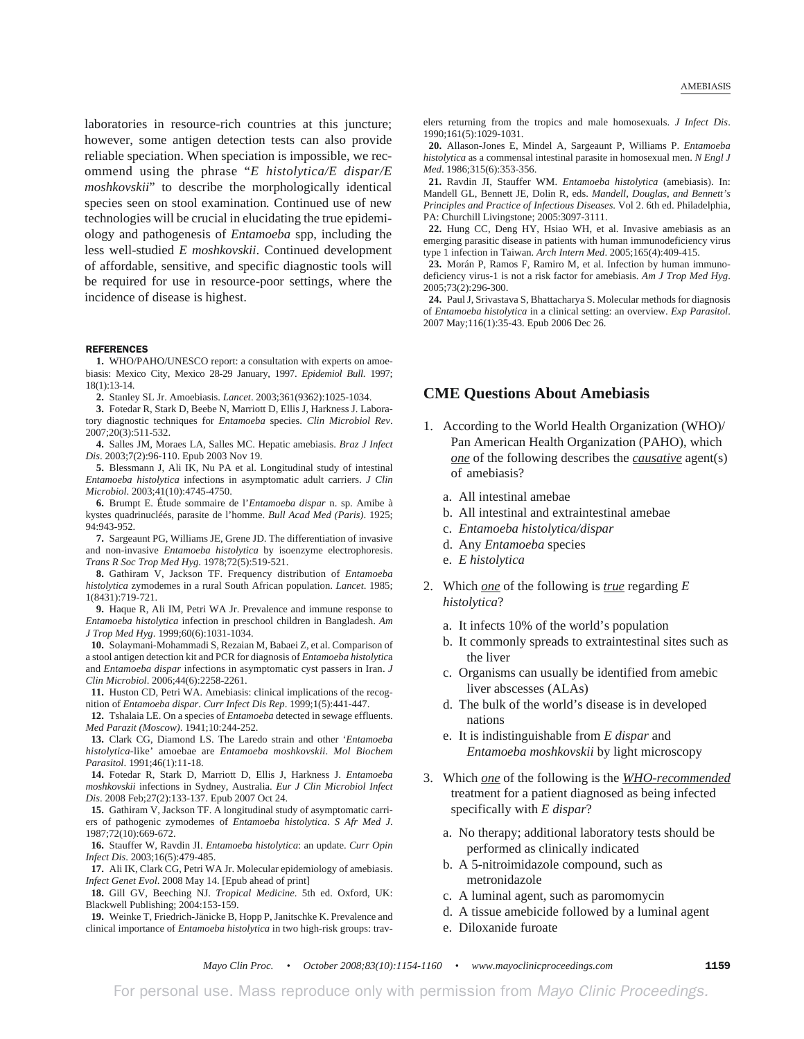laboratories in resource-rich countries at this juncture; however, some antigen detection tests can also provide reliable speciation. When speciation is impossible, we recommend using the phrase "*E histolytica/E dispar/E moshkovskii*" to describe the morphologically identical species seen on stool examination*.* Continued use of new technologies will be crucial in elucidating the true epidemiology and pathogenesis of *Entamoeba* spp, including the less well-studied *E moshkovskii*. Continued development of affordable, sensitive, and specific diagnostic tools will be required for use in resource-poor settings, where the incidence of disease is highest.

#### **REFERENCES**

**1.** WHO/PAHO/UNESCO report: a consultation with experts on amoebiasis: Mexico City, Mexico 28-29 January, 1997. *Epidemiol Bull*. 1997; 18(1):13-14.

**2.** Stanley SL Jr. Amoebiasis. *Lancet*. 2003;361(9362):1025-1034.

**3.** Fotedar R, Stark D, Beebe N, Marriott D, Ellis J, Harkness J. Laboratory diagnostic techniques for *Entamoeba* species. *Clin Microbiol Rev*. 2007;20(3):511-532.

**4.** Salles JM, Moraes LA, Salles MC. Hepatic amebiasis. *Braz J Infect Dis*. 2003;7(2):96-110. Epub 2003 Nov 19.

**5.** Blessmann J, Ali IK, Nu PA et al. Longitudinal study of intestinal *Entamoeba histolytica* infections in asymptomatic adult carriers. *J Clin Microbiol*. 2003;41(10):4745-4750.

**6.** Brumpt E. Étude sommaire de l'*Entamoeba dispar* n. sp. Amibe à kystes quadrinucléés, parasite de l'homme. *Bull Acad Med (Paris)*. 1925; 94:943-952.

**7.** Sargeaunt PG, Williams JE, Grene JD. The differentiation of invasive and non-invasive *Entamoeba histolytica* by isoenzyme electrophoresis. *Trans R Soc Trop Med Hyg*. 1978;72(5):519-521.

**8.** Gathiram V, Jackson TF. Frequency distribution of *Entamoeba histolytica* zymodemes in a rural South African population. *Lancet*. 1985; 1(8431):719-721.

**9.** Haque R, Ali IM, Petri WA Jr. Prevalence and immune response to *Entamoeba histolytica* infection in preschool children in Bangladesh. *Am J Trop Med Hyg*. 1999;60(6):1031-1034.

**10.** Solaymani-Mohammadi S, Rezaian M, Babaei Z, et al. Comparison of a stool antigen detection kit and PCR for diagnosis of *Entamoeba histolytic*a and *Entamoeba dispar* infections in asymptomatic cyst passers in Iran. *J Clin Microbiol*. 2006;44(6):2258-2261.

**11.** Huston CD, Petri WA. Amebiasis: clinical implications of the recognition of *Entamoeba dispar*. *Curr Infect Dis Rep*. 1999;1(5):441-447.

**12.** Tshalaia LE. On a species of *Entamoeba* detected in sewage effluents. *Med Parazit (Moscow)*. 1941;10:244-252.

**13.** Clark CG, Diamond LS. The Laredo strain and other '*Entamoeba histolytica*-like' amoebae are *Entamoeba moshkovskii*. *Mol Biochem Parasitol*. 1991;46(1):11-18.

**14.** Fotedar R, Stark D, Marriott D, Ellis J, Harkness J. *Entamoeba moshkovskii* infections in Sydney, Australia. *Eur J Clin Microbiol Infect Dis*. 2008 Feb;27(2):133-137. Epub 2007 Oct 24.

**15.** Gathiram V, Jackson TF. A longitudinal study of asymptomatic carriers of pathogenic zymodemes of *Entamoeba histolytica*. *S Afr Med J*. 1987;72(10):669-672.

**16.** Stauffer W, Ravdin JI. *Entamoeba histolytica*: an update. *Curr Opin Infect Dis*. 2003;16(5):479-485.

**17.** Ali IK, Clark CG, Petri WA Jr. Molecular epidemiology of amebiasis. *Infect Genet Evol*. 2008 May 14. [Epub ahead of print]

**18.** Gill GV, Beeching NJ. *Tropical Medicine*. 5th ed. Oxford, UK: Blackwell Publishing; 2004:153-159.

**19.** Weinke T, Friedrich-Jänicke B, Hopp P, Janitschke K. Prevalence and clinical importance of *Entamoeba histolytica* in two high-risk groups: travelers returning from the tropics and male homosexuals. *J Infect Dis*. 1990;161(5):1029-1031.

**20.** Allason-Jones E, Mindel A, Sargeaunt P, Williams P. *Entamoeba histolytica* as a commensal intestinal parasite in homosexual men. *N Engl J Med*. 1986;315(6):353-356.

**21.** Ravdin JI, Stauffer WM. *Entamoeba histolytica* (amebiasis). In: Mandell GL, Bennett JE, Dolin R, eds. *Mandell, Douglas, and Bennett's Principles and Practice of Infectious Diseases*. Vol 2. 6th ed. Philadelphia, PA: Churchill Livingstone; 2005:3097-3111.

**22.** Hung CC, Deng HY, Hsiao WH, et al. Invasive amebiasis as an emerging parasitic disease in patients with human immunodeficiency virus type 1 infection in Taiwan. *Arch Intern Med*. 2005;165(4):409-415.

**23.** Morán P, Ramos F, Ramiro M, et al. Infection by human immunodeficiency virus-1 is not a risk factor for amebiasis. *Am J Trop Med Hyg*. 2005;73(2):296-300.

**24.** Paul J, Srivastava S, Bhattacharya S. Molecular methods for diagnosis of *Entamoeba histolytica* in a clinical setting: an overview. *Exp Parasitol*. 2007 May;116(1):35-43. Epub 2006 Dec 26.

### **CME Questions About Amebiasis**

- 1. According to the World Health Organization (WHO)/ Pan American Health Organization (PAHO), which *one* of the following describes the *causative* agent(s) of amebiasis?
	- a. All intestinal amebae
	- b. All intestinal and extraintestinal amebae
	- c. *Entamoeba histolytica/dispar*
	- d. Any *Entamoeba* species
	- e. *E histolytica*
- 2. Which *one* of the following is *true* regarding *E histolytica*?
	- a. It infects 10% of the world's population
	- b. It commonly spreads to extraintestinal sites such as the liver
	- c. Organisms can usually be identified from amebic liver abscesses (ALAs)
	- d. The bulk of the world's disease is in developed nations
	- e. It is indistinguishable from *E dispar* and *Entamoeba moshkovskii* by light microscopy
- 3. Which *one* of the following is the *WHO-recommended* treatment for a patient diagnosed as being infected specifically with *E dispar*?
	- a. No therapy; additional laboratory tests should be performed as clinically indicated
	- b. A 5-nitroimidazole compound, such as metronidazole
	- c. A luminal agent, such as paromomycin
	- d. A tissue amebicide followed by a luminal agent
	- e. Diloxanide furoate

*Mayo Clin Proc. • October 2008;83(10):1154-1160 • www.mayoclinicproceedings.com* 1159